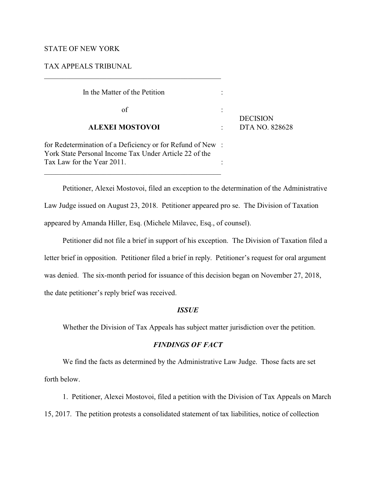## STATE OF NEW YORK

### TAX APPEALS TRIBUNAL

| In the Matter of the Petition                                                                                                                     |                 |
|---------------------------------------------------------------------------------------------------------------------------------------------------|-----------------|
| οf                                                                                                                                                | <b>DECISION</b> |
| <b>ALEXEI MOSTOVOI</b>                                                                                                                            | DTA NO. 828628  |
| for Redetermination of a Deficiency or for Refund of New:<br>York State Personal Income Tax Under Article 22 of the<br>Tax Law for the Year 2011. |                 |
|                                                                                                                                                   |                 |

\_\_\_\_\_\_\_\_\_\_\_\_\_\_\_\_\_\_\_\_\_\_\_\_\_\_\_\_\_\_\_\_\_\_\_\_\_\_\_\_\_\_\_\_\_\_\_\_

Petitioner, Alexei Mostovoi, filed an exception to the determination of the Administrative Law Judge issued on August 23, 2018. Petitioner appeared pro se. The Division of Taxation appeared by Amanda Hiller, Esq. (Michele Milavec, Esq., of counsel).

Petitioner did not file a brief in support of his exception. The Division of Taxation filed a letter brief in opposition. Petitioner filed a brief in reply. Petitioner's request for oral argument was denied. The six-month period for issuance of this decision began on November 27, 2018, the date petitioner's reply brief was received.

#### *ISSUE*

Whether the Division of Tax Appeals has subject matter jurisdiction over the petition.

# *FINDINGS OF FACT*

We find the facts as determined by the Administrative Law Judge. Those facts are set forth below.

1. Petitioner, Alexei Mostovoi, filed a petition with the Division of Tax Appeals on March 15, 2017. The petition protests a consolidated statement of tax liabilities, notice of collection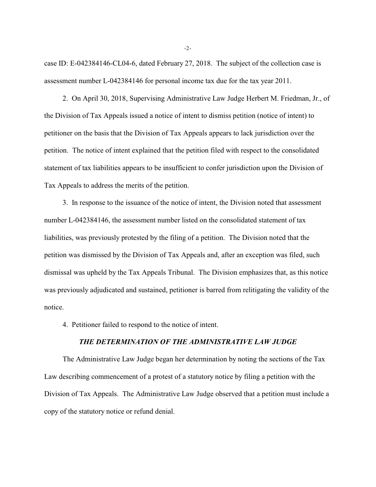case ID: E-042384146-CL04-6, dated February 27, 2018. The subject of the collection case is assessment number L-042384146 for personal income tax due for the tax year 2011.

2. On April 30, 2018, Supervising Administrative Law Judge Herbert M. Friedman, Jr., of the Division of Tax Appeals issued a notice of intent to dismiss petition (notice of intent) to petitioner on the basis that the Division of Tax Appeals appears to lack jurisdiction over the petition. The notice of intent explained that the petition filed with respect to the consolidated statement of tax liabilities appears to be insufficient to confer jurisdiction upon the Division of Tax Appeals to address the merits of the petition.

3. In response to the issuance of the notice of intent, the Division noted that assessment number L-042384146, the assessment number listed on the consolidated statement of tax liabilities, was previously protested by the filing of a petition. The Division noted that the petition was dismissed by the Division of Tax Appeals and, after an exception was filed, such dismissal was upheld by the Tax Appeals Tribunal. The Division emphasizes that, as this notice was previously adjudicated and sustained, petitioner is barred from relitigating the validity of the notice.

4. Petitioner failed to respond to the notice of intent.

## *THE DETERMINATION OF THE ADMINISTRATIVE LAW JUDGE*

The Administrative Law Judge began her determination by noting the sections of the Tax Law describing commencement of a protest of a statutory notice by filing a petition with the Division of Tax Appeals. The Administrative Law Judge observed that a petition must include a copy of the statutory notice or refund denial.

-2-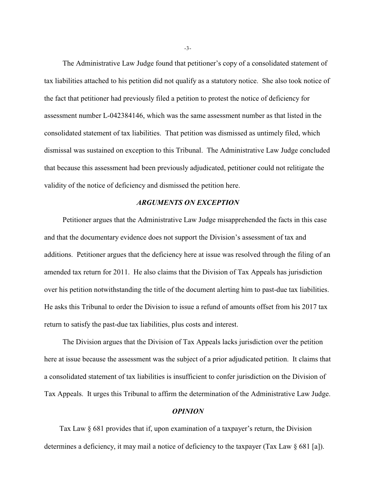The Administrative Law Judge found that petitioner's copy of a consolidated statement of tax liabilities attached to his petition did not qualify as a statutory notice. She also took notice of the fact that petitioner had previously filed a petition to protest the notice of deficiency for assessment number L-042384146, which was the same assessment number as that listed in the consolidated statement of tax liabilities. That petition was dismissed as untimely filed, which dismissal was sustained on exception to this Tribunal. The Administrative Law Judge concluded that because this assessment had been previously adjudicated, petitioner could not relitigate the validity of the notice of deficiency and dismissed the petition here.

# *ARGUMENTS ON EXCEPTION*

Petitioner argues that the Administrative Law Judge misapprehended the facts in this case and that the documentary evidence does not support the Division's assessment of tax and additions. Petitioner argues that the deficiency here at issue was resolved through the filing of an amended tax return for 2011. He also claims that the Division of Tax Appeals has jurisdiction over his petition notwithstanding the title of the document alerting him to past-due tax liabilities. He asks this Tribunal to order the Division to issue a refund of amounts offset from his 2017 tax return to satisfy the past-due tax liabilities, plus costs and interest.

The Division argues that the Division of Tax Appeals lacks jurisdiction over the petition here at issue because the assessment was the subject of a prior adjudicated petition. It claims that a consolidated statement of tax liabilities is insufficient to confer jurisdiction on the Division of Tax Appeals. It urges this Tribunal to affirm the determination of the Administrative Law Judge.

#### *OPINION*

 Tax Law § 681 provides that if, upon examination of a taxpayer's return, the Division determines a deficiency, it may mail a notice of deficiency to the taxpayer (Tax Law § 681 [a]).

-3-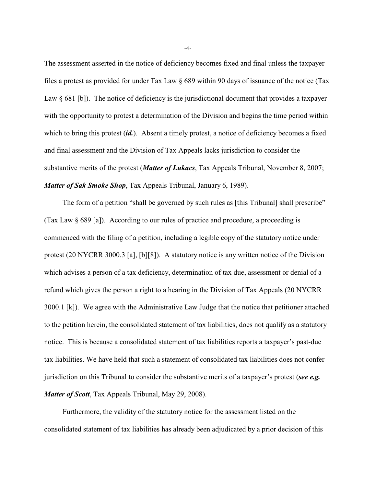The assessment asserted in the notice of deficiency becomes fixed and final unless the taxpayer files a protest as provided for under Tax Law § 689 within 90 days of issuance of the notice (Tax Law § 681 [b]). The notice of deficiency is the jurisdictional document that provides a taxpayer with the opportunity to protest a determination of the Division and begins the time period within which to bring this protest *(id.)*. Absent a timely protest, a notice of deficiency becomes a fixed and final assessment and the Division of Tax Appeals lacks jurisdiction to consider the substantive merits of the protest (*Matter of Lukacs*, Tax Appeals Tribunal, November 8, 2007; *Matter of Sak Smoke Shop*, Tax Appeals Tribunal, January 6, 1989).

The form of a petition "shall be governed by such rules as [this Tribunal] shall prescribe" (Tax Law § 689 [a]). According to our rules of practice and procedure, a proceeding is commenced with the filing of a petition, including a legible copy of the statutory notice under protest (20 NYCRR 3000.3 [a], [b][8]). A statutory notice is any written notice of the Division which advises a person of a tax deficiency, determination of tax due, assessment or denial of a refund which gives the person a right to a hearing in the Division of Tax Appeals (20 NYCRR 3000.1 [k]). We agree with the Administrative Law Judge that the notice that petitioner attached to the petition herein, the consolidated statement of tax liabilities, does not qualify as a statutory notice. This is because a consolidated statement of tax liabilities reports a taxpayer's past-due tax liabilities. We have held that such a statement of consolidated tax liabilities does not confer jurisdiction on this Tribunal to consider the substantive merits of a taxpayer's protest (*see e.g. Matter of Scott*, Tax Appeals Tribunal, May 29, 2008).

Furthermore, the validity of the statutory notice for the assessment listed on the consolidated statement of tax liabilities has already been adjudicated by a prior decision of this

-4-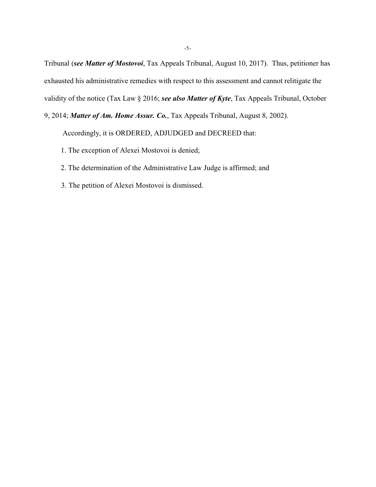Tribunal (*see Matter of Mostovoi*, Tax Appeals Tribunal, August 10, 2017). Thus, petitioner has exhausted his administrative remedies with respect to this assessment and cannot relitigate the validity of the notice (Tax Law § 2016; *see also Matter of Kyte*, Tax Appeals Tribunal, October

9, 2014; *Matter of Am. Home Assur. Co.*, Tax Appeals Tribunal, August 8, 2002).

Accordingly, it is ORDERED, ADJUDGED and DECREED that:

- 1. The exception of Alexei Mostovoi is denied;
- 2. The determination of the Administrative Law Judge is affirmed; and
- 3. The petition of Alexei Mostovoi is dismissed.